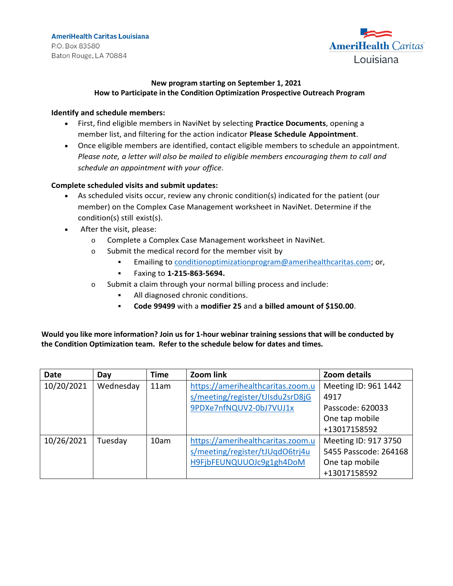

## **New program starting on September 1, 2021 How to Participate in the Condition Optimization Prospective Outreach Program**

## **Identify and schedule members:**

- First, find eligible members in NaviNet by selecting **Practice Documents**, opening a member list, and filtering for the action indicator **Please Schedule Appointment**.
- Once eligible members are identified, contact eligible members to schedule an appointment. *Please note, a letter will also be mailed to eligible members encouraging them to call and schedule an appointment with your office.*

## **Complete scheduled visits and submit updates:**

- As scheduled visits occur, review any chronic condition(s) indicated for the patient (our member) on the Complex Case Management worksheet in NaviNet. Determine if the condition(s) still exist(s).
- After the visit, please:
	- o Complete a Complex Case Management worksheet in NaviNet.
	- o Submit the medical record for the member visit by
		- **Emailing to [conditionoptimizationprogram@amerihealthcaritas.com;](mailto:conditionoptimizationprogram@amerihealthcaritas.com) or,**
		- Faxing to **1-215-863-5694.**
	- o Submit a claim through your normal billing process and include:
		- All diagnosed chronic conditions.
		- **Code 99499** with a **modifier 25** and **a billed amount of \$150.00**.

**Would you like more information? Join us for 1-hour webinar training sessions that will be conducted by the Condition Optimization team. Refer to the schedule below for dates and times.**

| <b>Date</b> | Day       | Time | Zoom link                         | Zoom details          |
|-------------|-----------|------|-----------------------------------|-----------------------|
| 10/20/2021  | Wednesday | 11am | https://amerihealthcaritas.zoom.u | Meeting ID: 961 1442  |
|             |           |      | s/meeting/register/tJIsdu2srD8jG  | 4917                  |
|             |           |      | 9PDXe7nfNQUV2-0bJ7VUJ1x           | Passcode: 620033      |
|             |           |      |                                   | One tap mobile        |
|             |           |      |                                   | +13017158592          |
| 10/26/2021  | Tuesday   | 10am | https://amerihealthcaritas.zoom.u | Meeting ID: 917 3750  |
|             |           |      | s/meeting/register/tJUqdO6tri4u   | 5455 Passcode: 264168 |
|             |           |      | H9FjbFEUNQUUOJc9g1gh4DoM          | One tap mobile        |
|             |           |      |                                   | +13017158592          |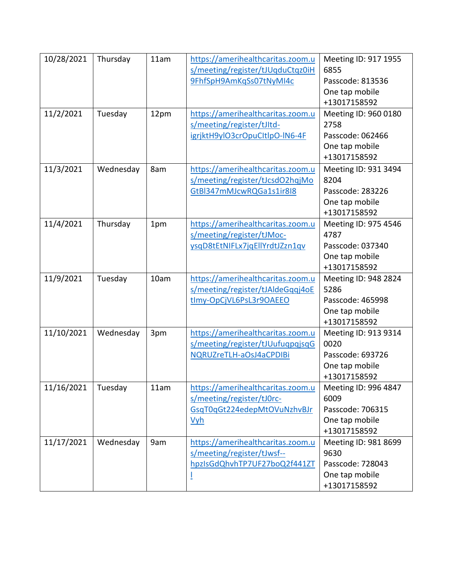| 10/28/2021 | Thursday  | 11am | https://amerihealthcaritas.zoom.u | Meeting ID: 917 1955 |
|------------|-----------|------|-----------------------------------|----------------------|
|            |           |      | s/meeting/register/tJUqduCtqz0iH  | 6855                 |
|            |           |      | 9FhfSpH9AmKqSs07tNyMI4c           | Passcode: 813536     |
|            |           |      |                                   | One tap mobile       |
|            |           |      |                                   | +13017158592         |
| 11/2/2021  | Tuesday   | 12pm | https://amerihealthcaritas.zoom.u | Meeting ID: 960 0180 |
|            |           |      | s/meeting/register/tJItd-         | 2758                 |
|            |           |      | igrjktH9ylO3crOpuCltlpO-IN6-4F    | Passcode: 062466     |
|            |           |      |                                   | One tap mobile       |
|            |           |      |                                   | +13017158592         |
| 11/3/2021  | Wednesday | 8am  | https://amerihealthcaritas.zoom.u | Meeting ID: 931 3494 |
|            |           |      | s/meeting/register/tJcsdO2hqjMo   | 8204                 |
|            |           |      | GtBl347mMJcwRQGa1s1ir8l8          | Passcode: 283226     |
|            |           |      |                                   | One tap mobile       |
|            |           |      |                                   | +13017158592         |
| 11/4/2021  | Thursday  | 1pm  | https://amerihealthcaritas.zoom.u | Meeting ID: 975 4546 |
|            |           |      | s/meeting/register/tJMoc-         | 4787                 |
|            |           |      | ysqD8tEtNIFLx7jqEllYrdtJZzn1qv    | Passcode: 037340     |
|            |           |      |                                   | One tap mobile       |
|            |           |      |                                   | +13017158592         |
| 11/9/2021  | Tuesday   | 10am | https://amerihealthcaritas.zoom.u | Meeting ID: 948 2824 |
|            |           |      | s/meeting/register/tJAldeGqqj4oE  | 5286                 |
|            |           |      | tImy-OpCjVL6PsL3r9OAEEO           | Passcode: 465998     |
|            |           |      |                                   | One tap mobile       |
|            |           |      |                                   | +13017158592         |
| 11/10/2021 | Wednesday | 3pm  | https://amerihealthcaritas.zoom.u | Meeting ID: 913 9314 |
|            |           |      | s/meeting/register/tJUufuqpqjsqG  | 0020                 |
|            |           |      | NQRUZreTLH-aOsJ4aCPDIBi           | Passcode: 693726     |
|            |           |      |                                   | One tap mobile       |
|            |           |      |                                   | +13017158592         |
| 11/16/2021 | Tuesday   | 11am | https://amerihealthcaritas.zoom.u | Meeting ID: 996 4847 |
|            |           |      | s/meeting/register/tJ0rc-         | 6009                 |
|            |           |      | GsgT0gGt224edepMtOVuNzhvBJr       | Passcode: 706315     |
|            |           |      | <u>Vyh</u>                        | One tap mobile       |
|            |           |      |                                   | +13017158592         |
| 11/17/2021 | Wednesday | 9am  | https://amerihealthcaritas.zoom.u | Meeting ID: 981 8699 |
|            |           |      | s/meeting/register/tJwsf--        | 9630                 |
|            |           |      | hpzIsGdQhvhTP7UF27boQ2f441ZT      | Passcode: 728043     |
|            |           |      |                                   | One tap mobile       |
|            |           |      |                                   | +13017158592         |